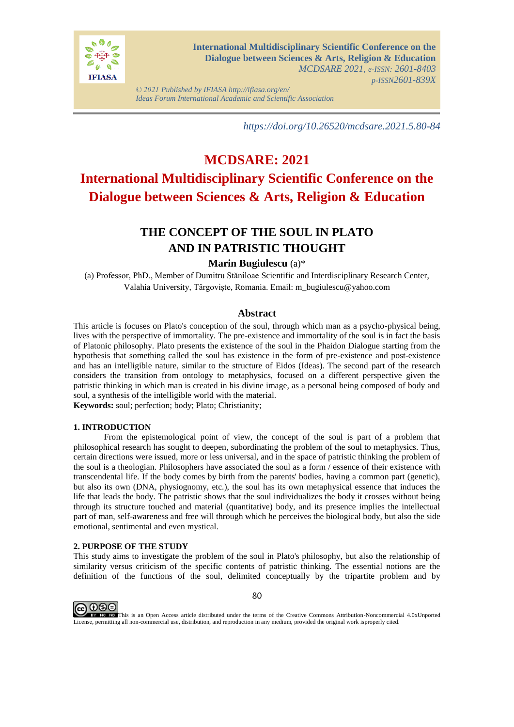

*© 2021 Published by IFIASA http://ifiasa.org/en/ Ideas Forum International Academic and Scientific Association*

*https://doi.org/10.26520/mcdsare.2021.5.80-84*

# **MCDSARE: 2021 International Multidisciplinary Scientific Conference on the Dialogue between Sciences & Arts, Religion & Education**

## **THE CONCEPT OF THE SOUL IN PLATO AND IN PATRISTIC THOUGHT**

## **Marin Bugiulescu** (a)\*

(a) Professor, PhD., Member of Dumitru Stăniloae Scientific and Interdisciplinary Research Center, Valahia University, Târgovişte, Romania. Email: m\_bugiulescu@yahoo.com

## **Abstract**

This article is focuses on Plato's conception of the soul, through which man as a psycho-physical being, lives with the perspective of immortality. The pre-existence and immortality of the soul is in fact the basis of Platonic philosophy. Plato presents the existence of the soul in the Phaidon Dialogue starting from the hypothesis that something called the soul has existence in the form of pre-existence and post-existence and has an intelligible nature, similar to the structure of Eidos (Ideas). The second part of the research considers the transition from ontology to metaphysics, focused on a different perspective given the patristic thinking in which man is created in his divine image, as a personal being composed of body and soul, a synthesis of the intelligible world with the material.

**Keywords:** soul; perfection; body; Plato; Christianity;

## **1. INTRODUCTION**

From the epistemological point of view, the concept of the soul is part of a problem that philosophical research has sought to deepen, subordinating the problem of the soul to metaphysics. Thus, certain directions were issued, more or less universal, and in the space of patristic thinking the problem of the soul is a theologian. Philosophers have associated the soul as a form / essence of their existence with transcendental life. If the body comes by birth from the parents' bodies, having a common part (genetic), but also its own (DNA, physiognomy, etc.), the soul has its own metaphysical essence that induces the life that leads the body. The patristic shows that the soul individualizes the body it crosses without being through its structure touched and material (quantitative) body, and its presence implies the intellectual part of man, self-awareness and free will through which he perceives the biological body, but also the side emotional, sentimental and even mystical.

## **2. PURPOSE OF THE STUDY**

This study aims to investigate the problem of the soul in Plato's philosophy, but also the relationship of similarity versus criticism of the specific contents of patristic thinking. The essential notions are the definition of the functions of the soul, delimited conceptually by the tripartite problem and by



This is an Open Access article distributed under the terms of the Creative Commons Attribution-Noncommercial 4.0xUnported License, permitting all non-commercial use, distribution, and reproduction in any medium, provided the original work isproperly cited.

80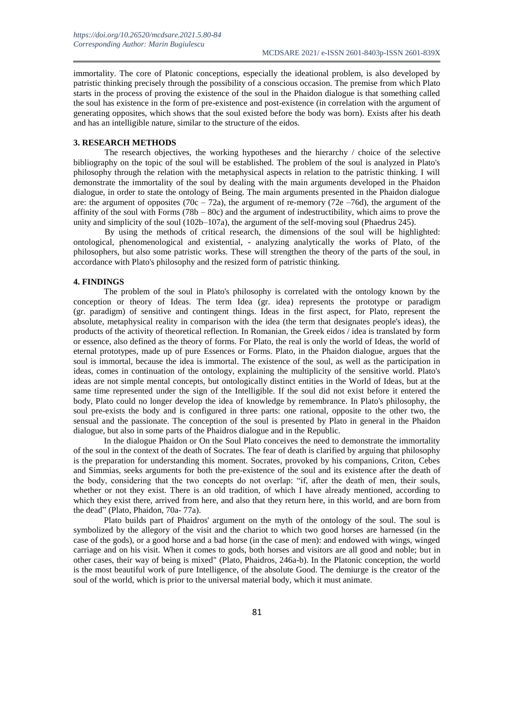immortality. The core of Platonic conceptions, especially the ideational problem, is also developed by patristic thinking precisely through the possibility of a conscious occasion. The premise from which Plato starts in the process of proving the existence of the soul in the Phaidon dialogue is that something called the soul has existence in the form of pre-existence and post-existence (in correlation with the argument of generating opposites, which shows that the soul existed before the body was born). Exists after his death and has an intelligible nature, similar to the structure of the eidos.

#### **3. RESEARCH METHODS**

The research objectives, the working hypotheses and the hierarchy / choice of the selective bibliography on the topic of the soul will be established. The problem of the soul is analyzed in Plato's philosophy through the relation with the metaphysical aspects in relation to the patristic thinking. I will demonstrate the immortality of the soul by dealing with the main arguments developed in the Phaidon dialogue, in order to state the ontology of Being. The main arguments presented in the Phaidon dialogue are: the argument of opposites  $(70c - 72a)$ , the argument of re-memory  $(72e - 76d)$ , the argument of the affinity of the soul with Forms  $(78b - 80c)$  and the argument of indestructibility, which aims to prove the unity and simplicity of the soul (102b–107a), the argument of the self-moving soul (Phaedrus 245).

By using the methods of critical research, the dimensions of the soul will be highlighted: ontological, phenomenological and existential, - analyzing analytically the works of Plato, of the philosophers, but also some patristic works. These will strengthen the theory of the parts of the soul, in accordance with Plato's philosophy and the resized form of patristic thinking.

### **4. FINDINGS**

The problem of the soul in Plato's philosophy is correlated with the ontology known by the conception or theory of Ideas. The term Idea (gr. idea) represents the prototype or paradigm (gr. paradigm) of sensitive and contingent things. Ideas in the first aspect, for Plato, represent the absolute, metaphysical reality in comparison with the idea (the term that designates people's ideas), the products of the activity of theoretical reflection. In Romanian, the Greek eidos / idea is translated by form or essence, also defined as the theory of forms. For Plato, the real is only the world of Ideas, the world of eternal prototypes, made up of pure Essences or Forms. Plato, in the Phaidon dialogue, argues that the soul is immortal, because the idea is immortal. The existence of the soul, as well as the participation in ideas, comes in continuation of the ontology, explaining the multiplicity of the sensitive world. Plato's ideas are not simple mental concepts, but ontologically distinct entities in the World of Ideas, but at the same time represented under the sign of the Intelligible. If the soul did not exist before it entered the body, Plato could no longer develop the idea of knowledge by remembrance. In Plato's philosophy, the soul pre-exists the body and is configured in three parts: one rational, opposite to the other two, the sensual and the passionate. The conception of the soul is presented by Plato in general in the Phaidon dialogue, but also in some parts of the Phaidros dialogue and in the Republic.

In the dialogue Phaidon or On the Soul Plato conceives the need to demonstrate the immortality of the soul in the context of the death of Socrates. The fear of death is clarified by arguing that philosophy is the preparation for understanding this moment. Socrates, provoked by his companions, Criton, Cebes and Simmias, seeks arguments for both the pre-existence of the soul and its existence after the death of the body, considering that the two concepts do not overlap: "if, after the death of men, their souls, whether or not they exist. There is an old tradition, of which I have already mentioned, according to which they exist there, arrived from here, and also that they return here, in this world, and are born from the dead" (Plato, Phaidon, 70a- 77a).

Plato builds part of Phaidros' argument on the myth of the ontology of the soul. The soul is symbolized by the allegory of the visit and the chariot to which two good horses are harnessed (in the case of the gods), or a good horse and a bad horse (in the case of men): and endowed with wings, winged carriage and on his visit. When it comes to gods, both horses and visitors are all good and noble; but in other cases, their way of being is mixed" (Plato, Phaidros, 246a-b). In the Platonic conception, the world is the most beautiful work of pure Intelligence, of the absolute Good. The demiurge is the creator of the soul of the world, which is prior to the universal material body, which it must animate.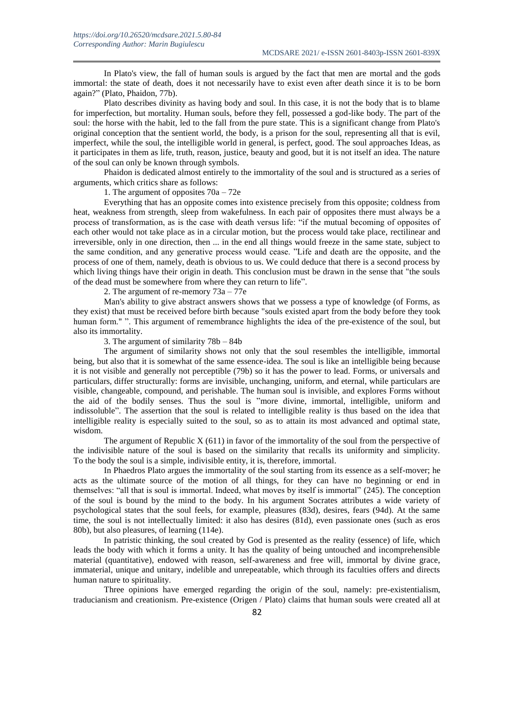In Plato's view, the fall of human souls is argued by the fact that men are mortal and the gods immortal: the state of death, does it not necessarily have to exist even after death since it is to be born again?" (Plato, Phaidon, 77b).

Plato describes divinity as having body and soul. In this case, it is not the body that is to blame for imperfection, but mortality. Human souls, before they fell, possessed a god-like body. The part of the soul: the horse with the habit, led to the fall from the pure state. This is a significant change from Plato's original conception that the sentient world, the body, is a prison for the soul, representing all that is evil, imperfect, while the soul, the intelligible world in general, is perfect, good. The soul approaches Ideas, as it participates in them as life, truth, reason, justice, beauty and good, but it is not itself an idea. The nature of the soul can only be known through symbols.

Phaidon is dedicated almost entirely to the immortality of the soul and is structured as a series of arguments, which critics share as follows:

1. The argument of opposites 70a – 72e

Everything that has an opposite comes into existence precisely from this opposite; coldness from heat, weakness from strength, sleep from wakefulness. In each pair of opposites there must always be a process of transformation, as is the case with death versus life: "if the mutual becoming of opposites of each other would not take place as in a circular motion, but the process would take place, rectilinear and irreversible, only in one direction, then ... in the end all things would freeze in the same state, subject to the same condition, and any generative process would cease. "Life and death are the opposite, and the process of one of them, namely, death is obvious to us. We could deduce that there is a second process by which living things have their origin in death. This conclusion must be drawn in the sense that "the souls" of the dead must be somewhere from where they can return to life".

2. The argument of re-memory 73a – 77e

Man's ability to give abstract answers shows that we possess a type of knowledge (of Forms, as they exist) that must be received before birth because "souls existed apart from the body before they took human form." ". This argument of remembrance highlights the idea of the pre-existence of the soul, but also its immortality.

3. The argument of similarity 78b – 84b

The argument of similarity shows not only that the soul resembles the intelligible, immortal being, but also that it is somewhat of the same essence-idea. The soul is like an intelligible being because it is not visible and generally not perceptible (79b) so it has the power to lead. Forms, or universals and particulars, differ structurally: forms are invisible, unchanging, uniform, and eternal, while particulars are visible, changeable, compound, and perishable. The human soul is invisible, and explores Forms without the aid of the bodily senses. Thus the soul is "more divine, immortal, intelligible, uniform and indissoluble". The assertion that the soul is related to intelligible reality is thus based on the idea that intelligible reality is especially suited to the soul, so as to attain its most advanced and optimal state, wisdom.

The argument of Republic  $X(611)$  in favor of the immortality of the soul from the perspective of the indivisible nature of the soul is based on the similarity that recalls its uniformity and simplicity. To the body the soul is a simple, indivisible entity, it is, therefore, immortal.

In Phaedros Plato argues the immortality of the soul starting from its essence as a self-mover; he acts as the ultimate source of the motion of all things, for they can have no beginning or end in themselves: "all that is soul is immortal. Indeed, what moves by itself is immortal" (245). The conception of the soul is bound by the mind to the body. In his argument Socrates attributes a wide variety of psychological states that the soul feels, for example, pleasures (83d), desires, fears (94d). At the same time, the soul is not intellectually limited: it also has desires (81d), even passionate ones (such as eros 80b), but also pleasures, of learning (114e).

In patristic thinking, the soul created by God is presented as the reality (essence) of life, which leads the body with which it forms a unity. It has the quality of being untouched and incomprehensible material (quantitative), endowed with reason, self-awareness and free will, immortal by divine grace, immaterial, unique and unitary, indelible and unrepeatable, which through its faculties offers and directs human nature to spirituality.

Three opinions have emerged regarding the origin of the soul, namely: pre-existentialism, traducianism and creationism. Pre-existence (Origen / Plato) claims that human souls were created all at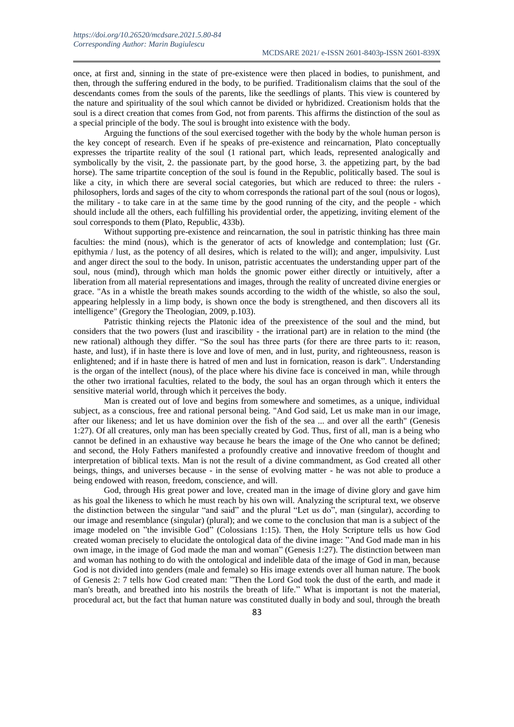once, at first and, sinning in the state of pre-existence were then placed in bodies, to punishment, and then, through the suffering endured in the body, to be purified. Traditionalism claims that the soul of the descendants comes from the souls of the parents, like the seedlings of plants. This view is countered by the nature and spirituality of the soul which cannot be divided or hybridized. Creationism holds that the soul is a direct creation that comes from God, not from parents. This affirms the distinction of the soul as a special principle of the body. The soul is brought into existence with the body.

Arguing the functions of the soul exercised together with the body by the whole human person is the key concept of research. Even if he speaks of pre-existence and reincarnation, Plato conceptually expresses the tripartite reality of the soul (1 rational part, which leads, represented analogically and symbolically by the visit, 2. the passionate part, by the good horse, 3. the appetizing part, by the bad horse). The same tripartite conception of the soul is found in the Republic, politically based. The soul is like a city, in which there are several social categories, but which are reduced to three: the rulers philosophers, lords and sages of the city to whom corresponds the rational part of the soul (nous or logos), the military - to take care in at the same time by the good running of the city, and the people - which should include all the others, each fulfilling his providential order, the appetizing, inviting element of the soul corresponds to them (Plato, Republic, 433b).

Without supporting pre-existence and reincarnation, the soul in patristic thinking has three main faculties: the mind (nous), which is the generator of acts of knowledge and contemplation; lust (Gr. epithymia / lust, as the potency of all desires, which is related to the will); and anger, impulsivity. Lust and anger direct the soul to the body. In unison, patristic accentuates the understanding upper part of the soul, nous (mind), through which man holds the gnomic power either directly or intuitively, after a liberation from all material representations and images, through the reality of uncreated divine energies or grace. "As in a whistle the breath makes sounds according to the width of the whistle, so also the soul, appearing helplessly in a limp body, is shown once the body is strengthened, and then discovers all its intelligence" (Gregory the Theologian, 2009, p.103).

Patristic thinking rejects the Platonic idea of the preexistence of the soul and the mind, but considers that the two powers (lust and irascibility - the irrational part) are in relation to the mind (the new rational) although they differ. "So the soul has three parts (for there are three parts to it: reason, haste, and lust), if in haste there is love and love of men, and in lust, purity, and righteousness, reason is enlightened; and if in haste there is hatred of men and lust in fornication, reason is dark". Understanding is the organ of the intellect (nous), of the place where his divine face is conceived in man, while through the other two irrational faculties, related to the body, the soul has an organ through which it enters the sensitive material world, through which it perceives the body.

Man is created out of love and begins from somewhere and sometimes, as a unique, individual subject, as a conscious, free and rational personal being. "And God said, Let us make man in our image, after our likeness; and let us have dominion over the fish of the sea ... and over all the earth" (Genesis 1:27). Of all creatures, only man has been specially created by God. Thus, first of all, man is a being who cannot be defined in an exhaustive way because he bears the image of the One who cannot be defined; and second, the Holy Fathers manifested a profoundly creative and innovative freedom of thought and interpretation of biblical texts. Man is not the result of a divine commandment, as God created all other beings, things, and universes because - in the sense of evolving matter - he was not able to produce a being endowed with reason, freedom, conscience, and will.

God, through His great power and love, created man in the image of divine glory and gave him as his goal the likeness to which he must reach by his own will. Analyzing the scriptural text, we observe the distinction between the singular "and said" and the plural "Let us do", man (singular), according to our image and resemblance (singular) (plural); and we come to the conclusion that man is a subject of the image modeled on "the invisible God" (Colossians 1:15). Then, the Holy Scripture tells us how God created woman precisely to elucidate the ontological data of the divine image: "And God made man in his own image, in the image of God made the man and woman" (Genesis 1:27). The distinction between man and woman has nothing to do with the ontological and indelible data of the image of God in man, because God is not divided into genders (male and female) so His image extends over all human nature. The book of Genesis 2: 7 tells how God created man: "Then the Lord God took the dust of the earth, and made it man's breath, and breathed into his nostrils the breath of life." What is important is not the material, procedural act, but the fact that human nature was constituted dually in body and soul, through the breath